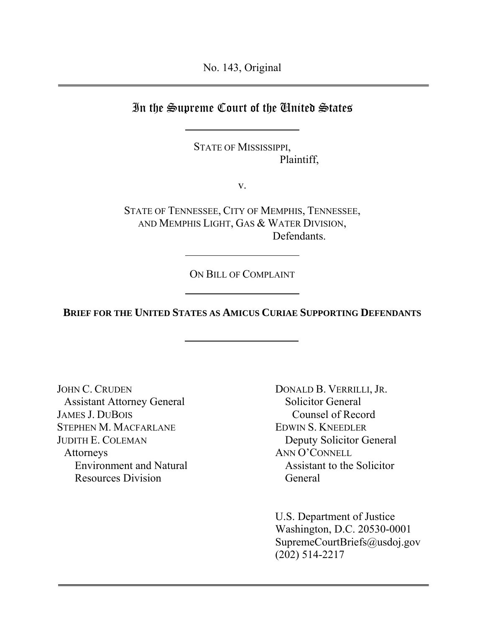No. 143, Original

## In the Supreme Court of the United States

STATE OF MISSISSIPPI, Plaintiff,

v.

STATE OF TENNESSEE, CITY OF MEMPHIS, TENNESSEE, AND MEMPHIS LIGHT, GAS & WATER DIVISION, Defendants.

ON BILL OF COMPLAINT

**BRIEF FOR THE UNITED STATES AS AMICUS CURIAE SUPPORTING DEFENDANTS**

JOHN C. CRUDEN Assistant Attorney General JAMES J. DUBOIS STEPHEN M. MACFARLANE JUDITH E. COLEMAN Attorneys Environment and Natural Resources Division

DONALD B. VERRILLI, JR. Solicitor General Counsel of Record EDWIN S. KNEEDLER Deputy Solicitor General ANN O'CONNELL Assistant to the Solicitor General

U.S. Department of Justice Washington, D.C. 20530-0001 SupremeCourtBriefs@usdoj.gov (202) 514-2217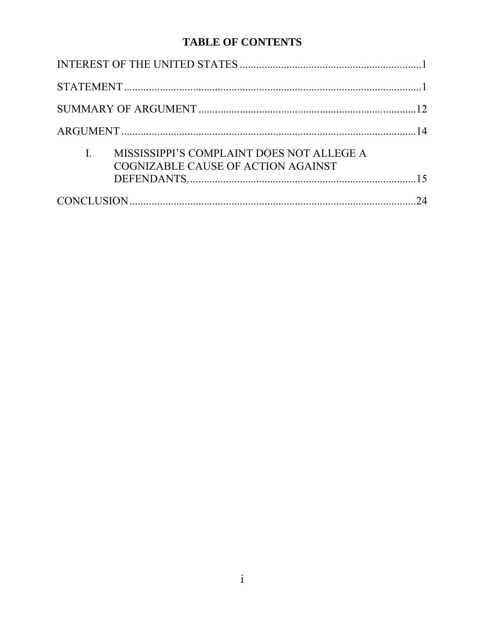## **TABLE OF CONTENTS**

|  | MISSISSIPPI'S COMPLAINT DOES NOT ALLEGE A<br>COGNIZABLE CAUSE OF ACTION AGAINST |    |
|--|---------------------------------------------------------------------------------|----|
|  |                                                                                 | 24 |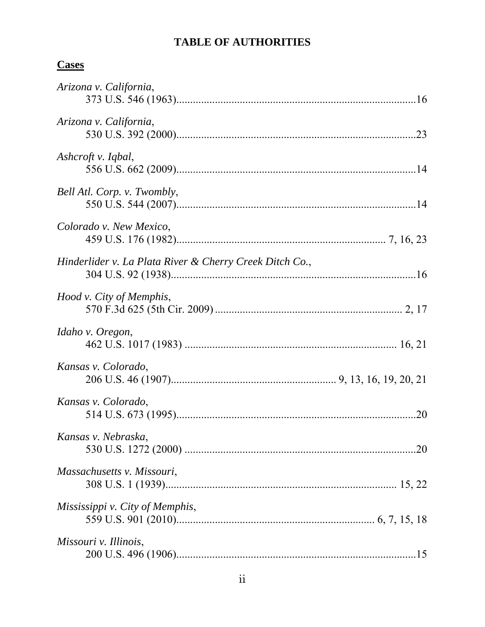# **TABLE OF AUTHORITIES**

# **Cases**

| Arizona v. California,                                  |     |
|---------------------------------------------------------|-----|
| Arizona v. California,                                  |     |
| Ashcroft v. Iqbal,                                      |     |
| Bell Atl. Corp. v. Twombly,                             |     |
| Colorado v. New Mexico,                                 |     |
| Hinderlider v. La Plata River & Cherry Creek Ditch Co., |     |
| Hood v. City of Memphis,                                |     |
| Idaho v. Oregon,                                        |     |
| Kansas v. Colorado,                                     |     |
| Kansas v. Colorado,                                     | .20 |
| Kansas v. Nebraska,                                     | .20 |
| Massachusetts v. Missouri,                              |     |
| Mississippi v. City of Memphis,                         |     |
| Missouri v. Illinois,                                   |     |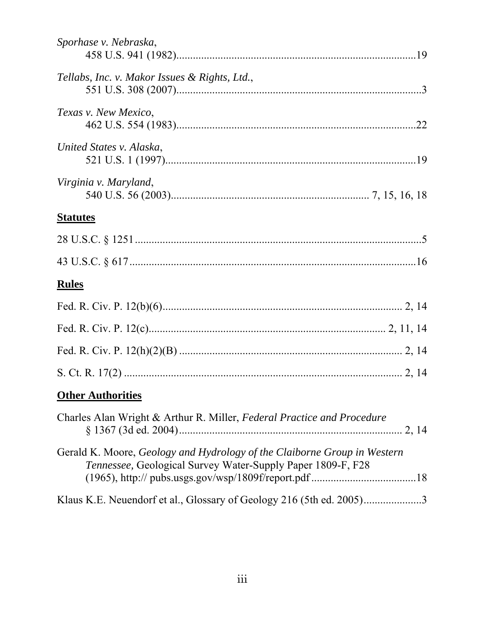| Sporhase v. Nebraska,                                                                                                                   |  |
|-----------------------------------------------------------------------------------------------------------------------------------------|--|
| Tellabs, Inc. v. Makor Issues & Rights, Ltd.,                                                                                           |  |
| Texas v. New Mexico,                                                                                                                    |  |
| United States v. Alaska,                                                                                                                |  |
| Virginia v. Maryland,                                                                                                                   |  |
| <b>Statutes</b>                                                                                                                         |  |
|                                                                                                                                         |  |
|                                                                                                                                         |  |
| <b>Rules</b>                                                                                                                            |  |
|                                                                                                                                         |  |
|                                                                                                                                         |  |
|                                                                                                                                         |  |
|                                                                                                                                         |  |
| <b>Other Authorities</b>                                                                                                                |  |
| Charles Alan Wright & Arthur R. Miller, Federal Practice and Procedure                                                                  |  |
| Gerald K. Moore, Geology and Hydrology of the Claiborne Group in Western<br>Tennessee, Geological Survey Water-Supply Paper 1809-F, F28 |  |
| Klaus K.E. Neuendorf et al., Glossary of Geology 216 (5th ed. 2005)3                                                                    |  |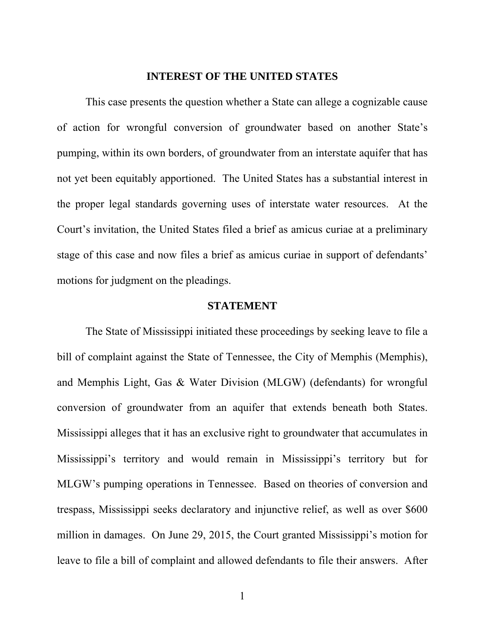#### **INTEREST OF THE UNITED STATES**

This case presents the question whether a State can allege a cognizable cause of action for wrongful conversion of groundwater based on another State's pumping, within its own borders, of groundwater from an interstate aquifer that has not yet been equitably apportioned. The United States has a substantial interest in the proper legal standards governing uses of interstate water resources. At the Court's invitation, the United States filed a brief as amicus curiae at a preliminary stage of this case and now files a brief as amicus curiae in support of defendants' motions for judgment on the pleadings.

#### **STATEMENT**

The State of Mississippi initiated these proceedings by seeking leave to file a bill of complaint against the State of Tennessee, the City of Memphis (Memphis), and Memphis Light, Gas & Water Division (MLGW) (defendants) for wrongful conversion of groundwater from an aquifer that extends beneath both States. Mississippi alleges that it has an exclusive right to groundwater that accumulates in Mississippi's territory and would remain in Mississippi's territory but for MLGW's pumping operations in Tennessee. Based on theories of conversion and trespass, Mississippi seeks declaratory and injunctive relief, as well as over \$600 million in damages. On June 29, 2015, the Court granted Mississippi's motion for leave to file a bill of complaint and allowed defendants to file their answers. After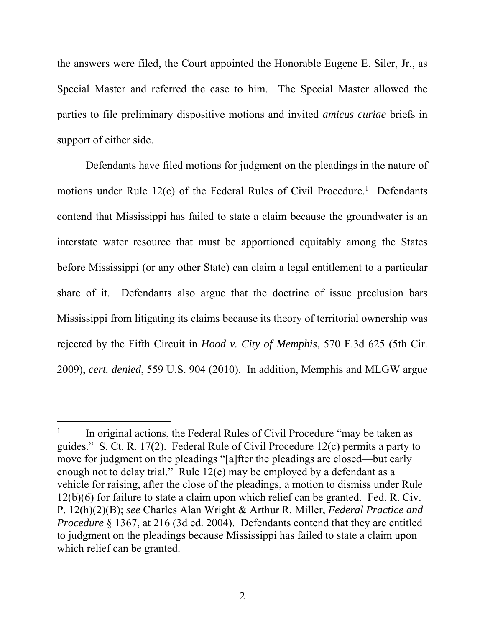the answers were filed, the Court appointed the Honorable Eugene E. Siler, Jr., as Special Master and referred the case to him. The Special Master allowed the parties to file preliminary dispositive motions and invited *amicus curiae* briefs in support of either side.

Defendants have filed motions for judgment on the pleadings in the nature of motions under Rule  $12(c)$  of the Federal Rules of Civil Procedure.<sup>1</sup> Defendants contend that Mississippi has failed to state a claim because the groundwater is an interstate water resource that must be apportioned equitably among the States before Mississippi (or any other State) can claim a legal entitlement to a particular share of it. Defendants also argue that the doctrine of issue preclusion bars Mississippi from litigating its claims because its theory of territorial ownership was rejected by the Fifth Circuit in *Hood v. City of Memphis*, 570 F.3d 625 (5th Cir. 2009), *cert. denied*, 559 U.S. 904 (2010). In addition, Memphis and MLGW argue

-

<sup>1</sup> In original actions, the Federal Rules of Civil Procedure "may be taken as guides." S. Ct. R. 17(2). Federal Rule of Civil Procedure 12(c) permits a party to move for judgment on the pleadings "[a]fter the pleadings are closed—but early enough not to delay trial." Rule 12(c) may be employed by a defendant as a vehicle for raising, after the close of the pleadings, a motion to dismiss under Rule 12(b)(6) for failure to state a claim upon which relief can be granted. Fed. R. Civ. P. 12(h)(2)(B); *see* Charles Alan Wright & Arthur R. Miller, *Federal Practice and Procedure* § 1367, at 216 (3d ed. 2004). Defendants contend that they are entitled to judgment on the pleadings because Mississippi has failed to state a claim upon which relief can be granted.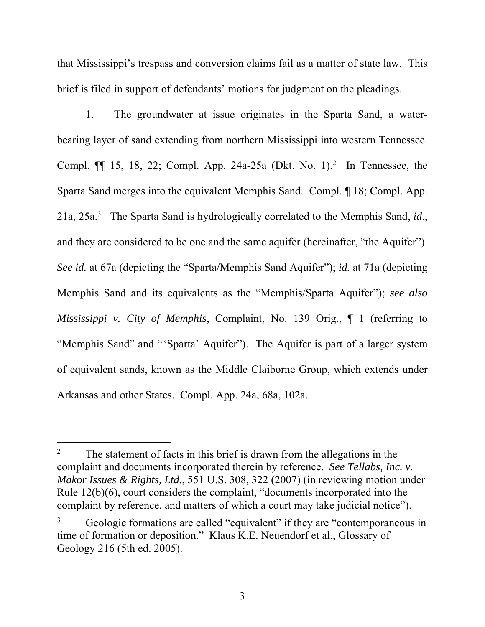that Mississippi's trespass and conversion claims fail as a matter of state law. This brief is filed in support of defendants' motions for judgment on the pleadings.

1. The groundwater at issue originates in the Sparta Sand, a waterbearing layer of sand extending from northern Mississippi into western Tennessee. Compl.  $\P$  15, 18, 22; Compl. App. 24a-25a (Dkt. No. 1).<sup>2</sup> In Tennessee, the Sparta Sand merges into the equivalent Memphis Sand. Compl. ¶ 18; Compl. App. 21a, 25a.3 The Sparta Sand is hydrologically correlated to the Memphis Sand, *id*., and they are considered to be one and the same aquifer (hereinafter, "the Aquifer"). *See id.* at 67a (depicting the "Sparta/Memphis Sand Aquifer"); *id.* at 71a (depicting Memphis Sand and its equivalents as the "Memphis/Sparta Aquifer"); *see also Mississippi v. City of Memphis*, Complaint, No. 139 Orig., ¶ 1 (referring to "Memphis Sand" and "'Sparta' Aquifer"). The Aquifer is part of a larger system of equivalent sands, known as the Middle Claiborne Group, which extends under Arkansas and other States. Compl. App. 24a, 68a, 102a.

-

<sup>&</sup>lt;sup>2</sup> The statement of facts in this brief is drawn from the allegations in the complaint and documents incorporated therein by reference. *See Tellabs, Inc. v. Makor Issues & Rights, Ltd.*, 551 U.S. 308, 322 (2007) (in reviewing motion under Rule 12(b)(6), court considers the complaint, "documents incorporated into the complaint by reference, and matters of which a court may take judicial notice").

<sup>3</sup> Geologic formations are called "equivalent" if they are "contemporaneous in time of formation or deposition." Klaus K.E. Neuendorf et al., Glossary of Geology 216 (5th ed. 2005).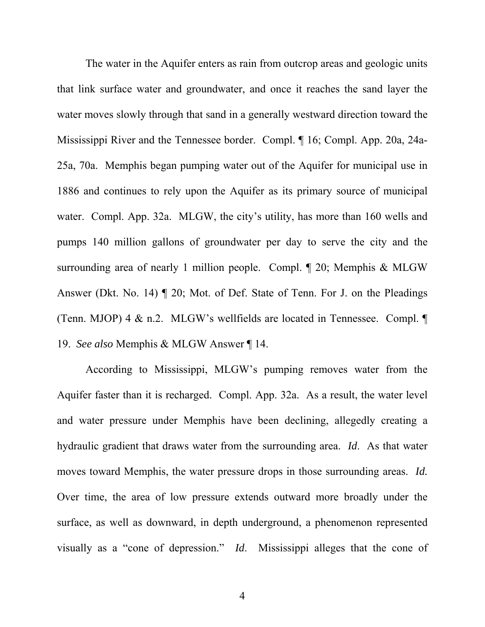The water in the Aquifer enters as rain from outcrop areas and geologic units that link surface water and groundwater, and once it reaches the sand layer the water moves slowly through that sand in a generally westward direction toward the Mississippi River and the Tennessee border. Compl. ¶ 16; Compl. App. 20a, 24a-25a, 70a. Memphis began pumping water out of the Aquifer for municipal use in 1886 and continues to rely upon the Aquifer as its primary source of municipal water. Compl. App. 32a. MLGW, the city's utility, has more than 160 wells and pumps 140 million gallons of groundwater per day to serve the city and the surrounding area of nearly 1 million people. Compl. ¶ 20; Memphis & MLGW Answer (Dkt. No. 14) ¶ 20; Mot. of Def. State of Tenn. For J. on the Pleadings (Tenn. MJOP) 4 & n.2. MLGW's wellfields are located in Tennessee. Compl. ¶ 19. *See also* Memphis & MLGW Answer ¶ 14.

According to Mississippi, MLGW's pumping removes water from the Aquifer faster than it is recharged. Compl. App. 32a. As a result, the water level and water pressure under Memphis have been declining, allegedly creating a hydraulic gradient that draws water from the surrounding area. *Id*. As that water moves toward Memphis, the water pressure drops in those surrounding areas. *Id.* Over time, the area of low pressure extends outward more broadly under the surface, as well as downward, in depth underground, a phenomenon represented visually as a "cone of depression." *Id*. Mississippi alleges that the cone of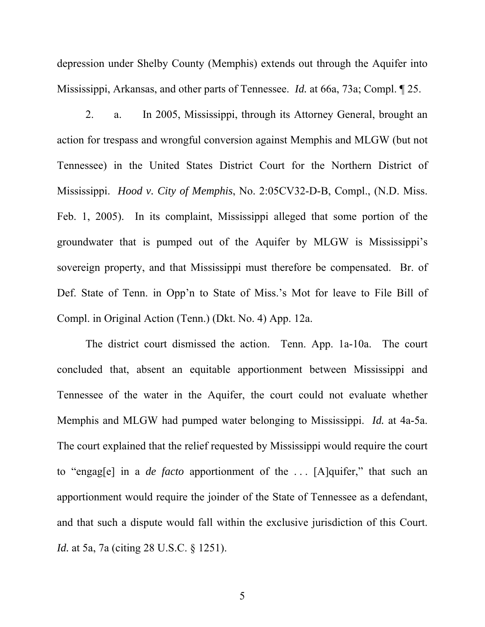depression under Shelby County (Memphis) extends out through the Aquifer into Mississippi, Arkansas, and other parts of Tennessee. *Id.* at 66a, 73a; Compl. ¶ 25.

2. a. In 2005, Mississippi, through its Attorney General, brought an action for trespass and wrongful conversion against Memphis and MLGW (but not Tennessee) in the United States District Court for the Northern District of Mississippi. *Hood v. City of Memphis*, No. 2:05CV32-D-B, Compl., (N.D. Miss. Feb. 1, 2005). In its complaint, Mississippi alleged that some portion of the groundwater that is pumped out of the Aquifer by MLGW is Mississippi's sovereign property, and that Mississippi must therefore be compensated. Br. of Def. State of Tenn. in Opp'n to State of Miss.'s Mot for leave to File Bill of Compl. in Original Action (Tenn.) (Dkt. No. 4) App. 12a.

The district court dismissed the action. Tenn. App. 1a-10a. The court concluded that, absent an equitable apportionment between Mississippi and Tennessee of the water in the Aquifer, the court could not evaluate whether Memphis and MLGW had pumped water belonging to Mississippi. *Id.* at 4a-5a. The court explained that the relief requested by Mississippi would require the court to "engag[e] in a *de facto* apportionment of the . . . [A]quifer," that such an apportionment would require the joinder of the State of Tennessee as a defendant, and that such a dispute would fall within the exclusive jurisdiction of this Court. *Id.* at 5a, 7a (citing 28 U.S.C. § 1251).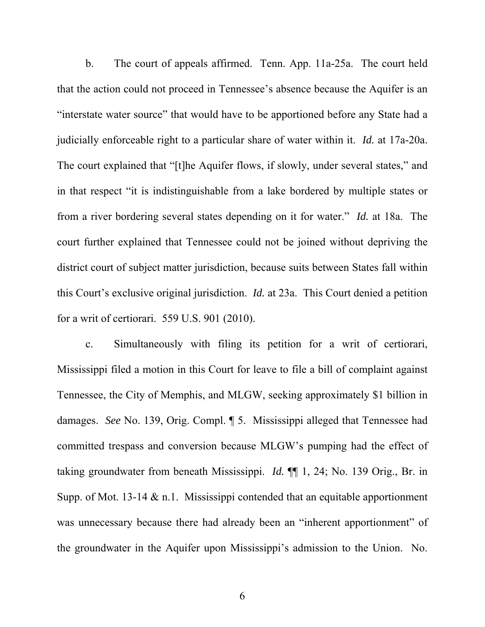b. The court of appeals affirmed. Tenn. App. 11a-25a. The court held that the action could not proceed in Tennessee's absence because the Aquifer is an "interstate water source" that would have to be apportioned before any State had a judicially enforceable right to a particular share of water within it. *Id.* at 17a-20a. The court explained that "[t]he Aquifer flows, if slowly, under several states," and in that respect "it is indistinguishable from a lake bordered by multiple states or from a river bordering several states depending on it for water." *Id.* at 18a. The court further explained that Tennessee could not be joined without depriving the district court of subject matter jurisdiction, because suits between States fall within this Court's exclusive original jurisdiction. *Id.* at 23a. This Court denied a petition for a writ of certiorari. 559 U.S. 901 (2010).

c. Simultaneously with filing its petition for a writ of certiorari, Mississippi filed a motion in this Court for leave to file a bill of complaint against Tennessee, the City of Memphis, and MLGW, seeking approximately \$1 billion in damages. *See* No. 139, Orig. Compl. ¶ 5. Mississippi alleged that Tennessee had committed trespass and conversion because MLGW's pumping had the effect of taking groundwater from beneath Mississippi. *Id.* ¶¶ 1, 24; No. 139 Orig., Br. in Supp. of Mot. 13-14  $&$  n.1. Mississippi contended that an equitable apportionment was unnecessary because there had already been an "inherent apportionment" of the groundwater in the Aquifer upon Mississippi's admission to the Union. No.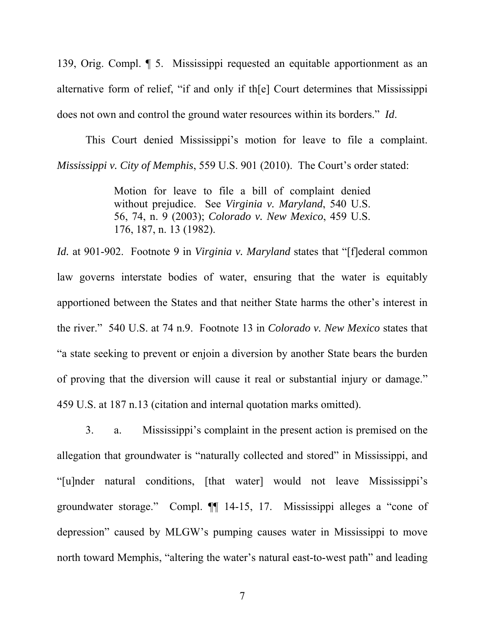139, Orig. Compl. ¶ 5. Mississippi requested an equitable apportionment as an alternative form of relief, "if and only if th[e] Court determines that Mississippi does not own and control the ground water resources within its borders." *Id*.

This Court denied Mississippi's motion for leave to file a complaint. *Mississippi v. City of Memphis*, 559 U.S. 901 (2010). The Court's order stated:

> Motion for leave to file a bill of complaint denied without prejudice. See *Virginia v. Maryland*, 540 U.S. 56, 74, n. 9 (2003); *Colorado v. New Mexico*, 459 U.S. 176, 187, n. 13 (1982).

*Id.* at 901-902. Footnote 9 in *Virginia v. Maryland* states that "[f]ederal common law governs interstate bodies of water, ensuring that the water is equitably apportioned between the States and that neither State harms the other's interest in the river." 540 U.S. at 74 n.9. Footnote 13 in *Colorado v. New Mexico* states that "a state seeking to prevent or enjoin a diversion by another State bears the burden of proving that the diversion will cause it real or substantial injury or damage." 459 U.S. at 187 n.13 (citation and internal quotation marks omitted).

3. a. Mississippi's complaint in the present action is premised on the allegation that groundwater is "naturally collected and stored" in Mississippi, and "[u]nder natural conditions, [that water] would not leave Mississippi's groundwater storage." Compl. ¶¶ 14-15, 17. Mississippi alleges a "cone of depression" caused by MLGW's pumping causes water in Mississippi to move north toward Memphis, "altering the water's natural east-to-west path" and leading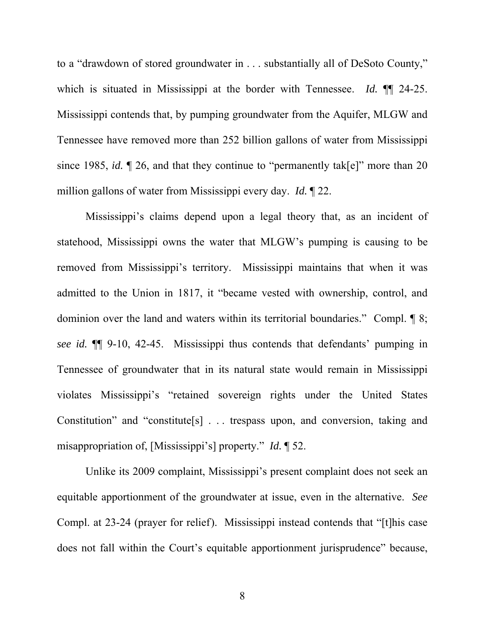to a "drawdown of stored groundwater in . . . substantially all of DeSoto County," which is situated in Mississippi at the border with Tennessee. *Id.* ¶¶ 24-25. Mississippi contends that, by pumping groundwater from the Aquifer, MLGW and Tennessee have removed more than 252 billion gallons of water from Mississippi since 1985, *id.*  $\llbracket 26$ , and that they continue to "permanently tak[e]" more than 20 million gallons of water from Mississippi every day. *Id.* ¶ 22.

Mississippi's claims depend upon a legal theory that, as an incident of statehood, Mississippi owns the water that MLGW's pumping is causing to be removed from Mississippi's territory. Mississippi maintains that when it was admitted to the Union in 1817, it "became vested with ownership, control, and dominion over the land and waters within its territorial boundaries." Compl. ¶ 8; *see id.* ¶¶ 9-10, 42-45. Mississippi thus contends that defendants' pumping in Tennessee of groundwater that in its natural state would remain in Mississippi violates Mississippi's "retained sovereign rights under the United States Constitution" and "constitute[s] . . . trespass upon, and conversion, taking and misappropriation of, [Mississippi's] property." *Id.* ¶ 52.

Unlike its 2009 complaint, Mississippi's present complaint does not seek an equitable apportionment of the groundwater at issue, even in the alternative. *See* Compl. at 23-24 (prayer for relief). Mississippi instead contends that "[t]his case does not fall within the Court's equitable apportionment jurisprudence" because,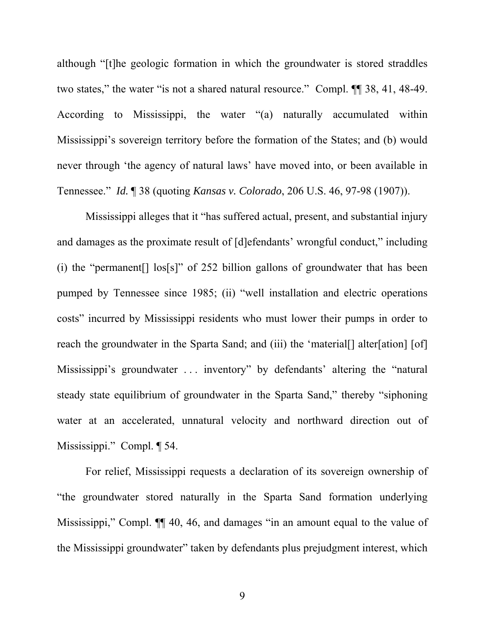although "[t]he geologic formation in which the groundwater is stored straddles two states," the water "is not a shared natural resource." Compl. ¶¶ 38, 41, 48-49. According to Mississippi, the water "(a) naturally accumulated within Mississippi's sovereign territory before the formation of the States; and (b) would never through 'the agency of natural laws' have moved into, or been available in Tennessee." *Id.* ¶ 38 (quoting *Kansas v. Colorado*, 206 U.S. 46, 97-98 (1907)).

Mississippi alleges that it "has suffered actual, present, and substantial injury and damages as the proximate result of [d]efendants' wrongful conduct," including (i) the "permanent[] los[s]" of 252 billion gallons of groundwater that has been pumped by Tennessee since 1985; (ii) "well installation and electric operations costs" incurred by Mississippi residents who must lower their pumps in order to reach the groundwater in the Sparta Sand; and (iii) the 'material. alter[ation] [of] Mississippi's groundwater . . . inventory" by defendants' altering the "natural steady state equilibrium of groundwater in the Sparta Sand," thereby "siphoning water at an accelerated, unnatural velocity and northward direction out of Mississippi." Compl. ¶ 54.

For relief, Mississippi requests a declaration of its sovereign ownership of "the groundwater stored naturally in the Sparta Sand formation underlying Mississippi," Compl. ¶¶ 40, 46, and damages "in an amount equal to the value of the Mississippi groundwater" taken by defendants plus prejudgment interest, which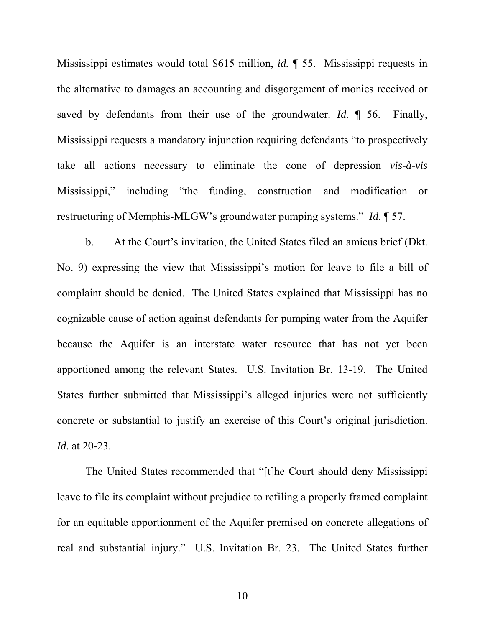Mississippi estimates would total \$615 million, *id.* ¶ 55. Mississippi requests in the alternative to damages an accounting and disgorgement of monies received or saved by defendants from their use of the groundwater. *Id.* ¶ 56. Finally, Mississippi requests a mandatory injunction requiring defendants "to prospectively take all actions necessary to eliminate the cone of depression *vis-à-vis* Mississippi," including "the funding, construction and modification or restructuring of Memphis-MLGW's groundwater pumping systems." *Id.* ¶ 57.

b. At the Court's invitation, the United States filed an amicus brief (Dkt. No. 9) expressing the view that Mississippi's motion for leave to file a bill of complaint should be denied. The United States explained that Mississippi has no cognizable cause of action against defendants for pumping water from the Aquifer because the Aquifer is an interstate water resource that has not yet been apportioned among the relevant States. U.S. Invitation Br. 13-19. The United States further submitted that Mississippi's alleged injuries were not sufficiently concrete or substantial to justify an exercise of this Court's original jurisdiction. *Id.* at 20-23.

The United States recommended that "[t]he Court should deny Mississippi leave to file its complaint without prejudice to refiling a properly framed complaint for an equitable apportionment of the Aquifer premised on concrete allegations of real and substantial injury." U.S. Invitation Br. 23. The United States further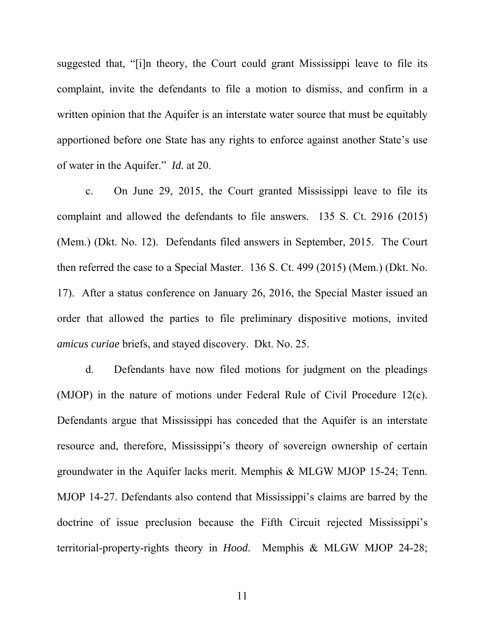suggested that, "[i]n theory, the Court could grant Mississippi leave to file its complaint, invite the defendants to file a motion to dismiss, and confirm in a written opinion that the Aquifer is an interstate water source that must be equitably apportioned before one State has any rights to enforce against another State's use of water in the Aquifer." *Id.* at 20.

c. On June 29, 2015, the Court granted Mississippi leave to file its complaint and allowed the defendants to file answers. 135 S. Ct. 2916 (2015) (Mem.) (Dkt. No. 12). Defendants filed answers in September, 2015. The Court then referred the case to a Special Master. 136 S. Ct. 499 (2015) (Mem.) (Dkt. No. 17). After a status conference on January 26, 2016, the Special Master issued an order that allowed the parties to file preliminary dispositive motions, invited *amicus curiae* briefs, and stayed discovery. Dkt. No. 25.

d. Defendants have now filed motions for judgment on the pleadings (MJOP) in the nature of motions under Federal Rule of Civil Procedure 12(c). Defendants argue that Mississippi has conceded that the Aquifer is an interstate resource and, therefore, Mississippi's theory of sovereign ownership of certain groundwater in the Aquifer lacks merit. Memphis & MLGW MJOP 15-24; Tenn. MJOP 14-27. Defendants also contend that Mississippi's claims are barred by the doctrine of issue preclusion because the Fifth Circuit rejected Mississippi's territorial-property-rights theory in *Hood*. Memphis & MLGW MJOP 24-28;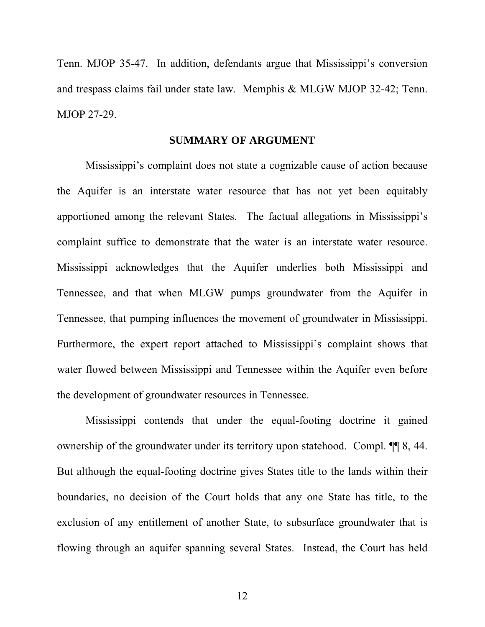Tenn. MJOP 35-47. In addition, defendants argue that Mississippi's conversion and trespass claims fail under state law. Memphis & MLGW MJOP 32-42; Tenn. MJOP 27-29.

### **SUMMARY OF ARGUMENT**

Mississippi's complaint does not state a cognizable cause of action because the Aquifer is an interstate water resource that has not yet been equitably apportioned among the relevant States. The factual allegations in Mississippi's complaint suffice to demonstrate that the water is an interstate water resource. Mississippi acknowledges that the Aquifer underlies both Mississippi and Tennessee, and that when MLGW pumps groundwater from the Aquifer in Tennessee, that pumping influences the movement of groundwater in Mississippi. Furthermore, the expert report attached to Mississippi's complaint shows that water flowed between Mississippi and Tennessee within the Aquifer even before the development of groundwater resources in Tennessee.

Mississippi contends that under the equal-footing doctrine it gained ownership of the groundwater under its territory upon statehood. Compl. ¶¶ 8, 44. But although the equal-footing doctrine gives States title to the lands within their boundaries, no decision of the Court holds that any one State has title, to the exclusion of any entitlement of another State, to subsurface groundwater that is flowing through an aquifer spanning several States. Instead, the Court has held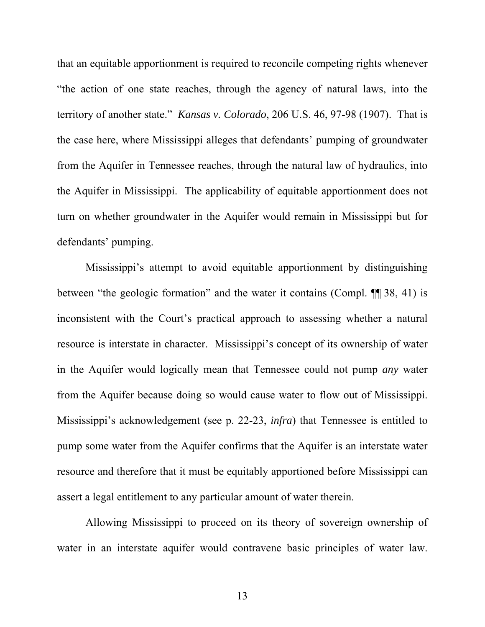that an equitable apportionment is required to reconcile competing rights whenever "the action of one state reaches, through the agency of natural laws, into the territory of another state." *Kansas v. Colorado*, 206 U.S. 46, 97-98 (1907). That is the case here, where Mississippi alleges that defendants' pumping of groundwater from the Aquifer in Tennessee reaches, through the natural law of hydraulics, into the Aquifer in Mississippi. The applicability of equitable apportionment does not turn on whether groundwater in the Aquifer would remain in Mississippi but for defendants' pumping.

Mississippi's attempt to avoid equitable apportionment by distinguishing between "the geologic formation" and the water it contains (Compl. ¶¶ 38, 41) is inconsistent with the Court's practical approach to assessing whether a natural resource is interstate in character. Mississippi's concept of its ownership of water in the Aquifer would logically mean that Tennessee could not pump *any* water from the Aquifer because doing so would cause water to flow out of Mississippi. Mississippi's acknowledgement (see p. 22-23, *infra*) that Tennessee is entitled to pump some water from the Aquifer confirms that the Aquifer is an interstate water resource and therefore that it must be equitably apportioned before Mississippi can assert a legal entitlement to any particular amount of water therein.

Allowing Mississippi to proceed on its theory of sovereign ownership of water in an interstate aquifer would contravene basic principles of water law.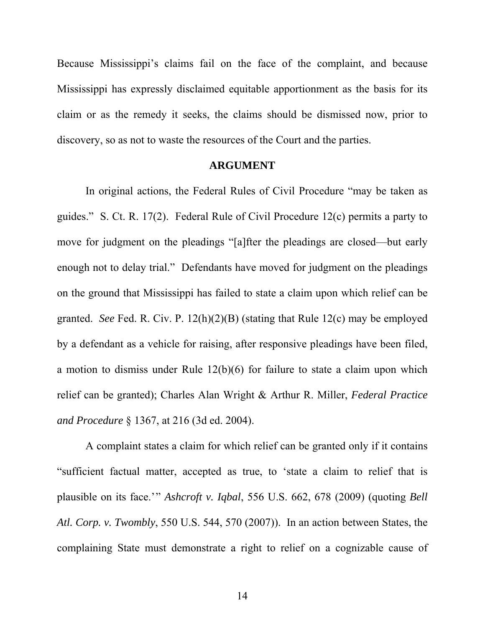Because Mississippi's claims fail on the face of the complaint, and because Mississippi has expressly disclaimed equitable apportionment as the basis for its claim or as the remedy it seeks, the claims should be dismissed now, prior to discovery, so as not to waste the resources of the Court and the parties.

#### **ARGUMENT**

In original actions, the Federal Rules of Civil Procedure "may be taken as guides." S. Ct. R. 17(2). Federal Rule of Civil Procedure 12(c) permits a party to move for judgment on the pleadings "[a]fter the pleadings are closed—but early enough not to delay trial." Defendants have moved for judgment on the pleadings on the ground that Mississippi has failed to state a claim upon which relief can be granted. *See* Fed. R. Civ. P. 12(h)(2)(B) (stating that Rule 12(c) may be employed by a defendant as a vehicle for raising, after responsive pleadings have been filed, a motion to dismiss under Rule 12(b)(6) for failure to state a claim upon which relief can be granted); Charles Alan Wright & Arthur R. Miller, *Federal Practice and Procedure* § 1367, at 216 (3d ed. 2004).

A complaint states a claim for which relief can be granted only if it contains "sufficient factual matter, accepted as true, to 'state a claim to relief that is plausible on its face.'" *Ashcroft v. Iqbal*, 556 U.S. 662, 678 (2009) (quoting *Bell Atl. Corp. v. Twombly*, 550 U.S. 544, 570 (2007)). In an action between States, the complaining State must demonstrate a right to relief on a cognizable cause of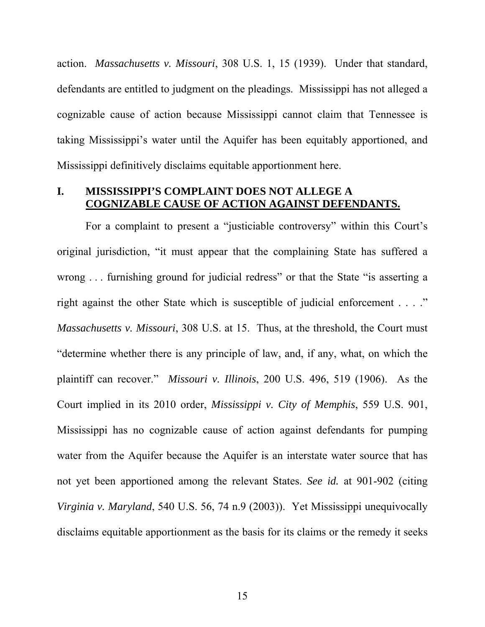action. *Massachusetts v. Missouri*, 308 U.S. 1, 15 (1939). Under that standard, defendants are entitled to judgment on the pleadings. Mississippi has not alleged a cognizable cause of action because Mississippi cannot claim that Tennessee is taking Mississippi's water until the Aquifer has been equitably apportioned, and Mississippi definitively disclaims equitable apportionment here.

### **I. MISSISSIPPI'S COMPLAINT DOES NOT ALLEGE A COGNIZABLE CAUSE OF ACTION AGAINST DEFENDANTS.**

For a complaint to present a "justiciable controversy" within this Court's original jurisdiction, "it must appear that the complaining State has suffered a wrong . . . furnishing ground for judicial redress" or that the State "is asserting a right against the other State which is susceptible of judicial enforcement . . . ." *Massachusetts v. Missouri*, 308 U.S. at 15. Thus, at the threshold, the Court must "determine whether there is any principle of law, and, if any, what, on which the plaintiff can recover." *Missouri v. Illinois*, 200 U.S. 496, 519 (1906). As the Court implied in its 2010 order, *Mississippi v. City of Memphis*, 559 U.S. 901, Mississippi has no cognizable cause of action against defendants for pumping water from the Aquifer because the Aquifer is an interstate water source that has not yet been apportioned among the relevant States. *See id.* at 901-902 (citing *Virginia v. Maryland*, 540 U.S. 56, 74 n.9 (2003)). Yet Mississippi unequivocally disclaims equitable apportionment as the basis for its claims or the remedy it seeks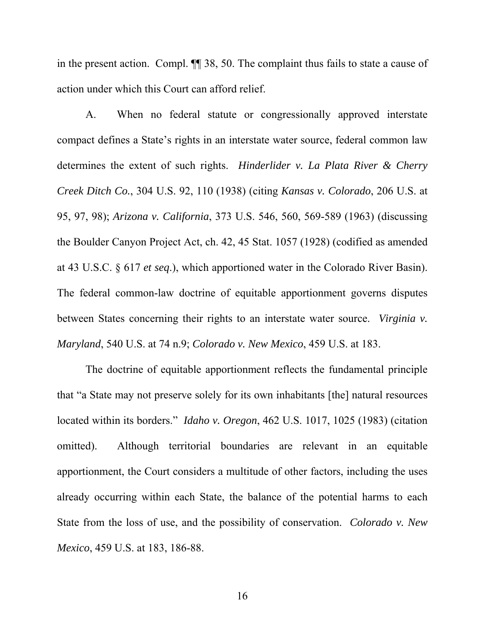in the present action. Compl. ¶¶ 38, 50. The complaint thus fails to state a cause of action under which this Court can afford relief.

A. When no federal statute or congressionally approved interstate compact defines a State's rights in an interstate water source, federal common law determines the extent of such rights. *Hinderlider v. La Plata River & Cherry Creek Ditch Co.*, 304 U.S. 92, 110 (1938) (citing *Kansas v. Colorado*, 206 U.S. at 95, 97, 98); *Arizona v. California*, 373 U.S. 546, 560, 569-589 (1963) (discussing the Boulder Canyon Project Act, ch. 42, 45 Stat. 1057 (1928) (codified as amended at 43 U.S.C. § 617 *et seq*.), which apportioned water in the Colorado River Basin). The federal common-law doctrine of equitable apportionment governs disputes between States concerning their rights to an interstate water source. *Virginia v. Maryland*, 540 U.S. at 74 n.9; *Colorado v. New Mexico*, 459 U.S. at 183.

The doctrine of equitable apportionment reflects the fundamental principle that "a State may not preserve solely for its own inhabitants [the] natural resources located within its borders." *Idaho v. Oregon*, 462 U.S. 1017, 1025 (1983) (citation omitted). Although territorial boundaries are relevant in an equitable apportionment, the Court considers a multitude of other factors, including the uses already occurring within each State, the balance of the potential harms to each State from the loss of use, and the possibility of conservation. *Colorado v. New Mexico*, 459 U.S. at 183, 186-88.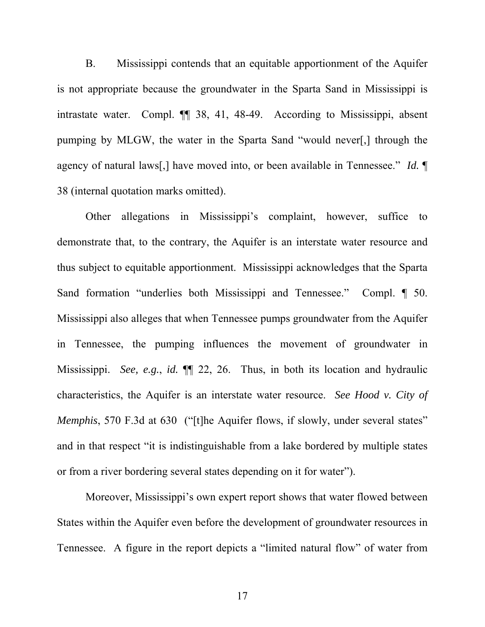B. Mississippi contends that an equitable apportionment of the Aquifer is not appropriate because the groundwater in the Sparta Sand in Mississippi is intrastate water. Compl. ¶¶ 38, 41, 48-49. According to Mississippi, absent pumping by MLGW, the water in the Sparta Sand "would never[,] through the agency of natural laws[,] have moved into, or been available in Tennessee." *Id.* ¶ 38 (internal quotation marks omitted).

Other allegations in Mississippi's complaint, however, suffice to demonstrate that, to the contrary, the Aquifer is an interstate water resource and thus subject to equitable apportionment. Mississippi acknowledges that the Sparta Sand formation "underlies both Mississippi and Tennessee." Compl. ¶ 50. Mississippi also alleges that when Tennessee pumps groundwater from the Aquifer in Tennessee, the pumping influences the movement of groundwater in Mississippi. *See, e.g.*, *id.* ¶¶ 22, 26. Thus, in both its location and hydraulic characteristics, the Aquifer is an interstate water resource. *See Hood v. City of Memphis*, 570 F.3d at 630 ("[t]he Aquifer flows, if slowly, under several states" and in that respect "it is indistinguishable from a lake bordered by multiple states or from a river bordering several states depending on it for water").

Moreover, Mississippi's own expert report shows that water flowed between States within the Aquifer even before the development of groundwater resources in Tennessee. A figure in the report depicts a "limited natural flow" of water from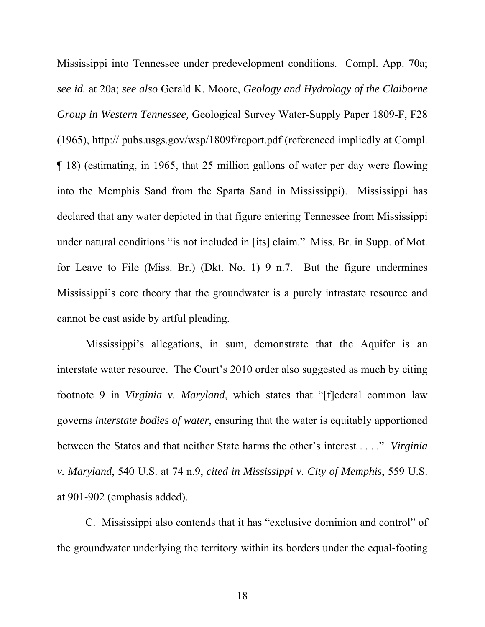Mississippi into Tennessee under predevelopment conditions. Compl. App. 70a; *see id.* at 20a; *see also* Gerald K. Moore, *Geology and Hydrology of the Claiborne Group in Western Tennessee,* Geological Survey Water-Supply Paper 1809-F, F28 (1965), http:// pubs.usgs.gov/wsp/1809f/report.pdf (referenced impliedly at Compl. ¶ 18) (estimating, in 1965, that 25 million gallons of water per day were flowing into the Memphis Sand from the Sparta Sand in Mississippi). Mississippi has declared that any water depicted in that figure entering Tennessee from Mississippi under natural conditions "is not included in [its] claim." Miss. Br. in Supp. of Mot. for Leave to File (Miss. Br.) (Dkt. No. 1) 9 n.7. But the figure undermines Mississippi's core theory that the groundwater is a purely intrastate resource and cannot be cast aside by artful pleading.

Mississippi's allegations, in sum, demonstrate that the Aquifer is an interstate water resource. The Court's 2010 order also suggested as much by citing footnote 9 in *Virginia v. Maryland*, which states that "[f]ederal common law governs *interstate bodies of water*, ensuring that the water is equitably apportioned between the States and that neither State harms the other's interest . . . ." *Virginia v. Maryland*, 540 U.S. at 74 n.9, *cited in Mississippi v. City of Memphis*, 559 U.S. at 901-902 (emphasis added).

C. Mississippi also contends that it has "exclusive dominion and control" of the groundwater underlying the territory within its borders under the equal-footing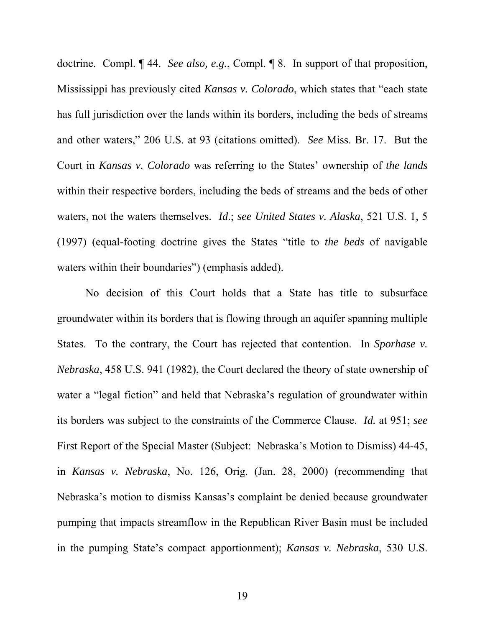doctrine. Compl. ¶ 44. *See also, e.g.*, Compl. ¶ 8. In support of that proposition, Mississippi has previously cited *Kansas v. Colorado*, which states that "each state has full jurisdiction over the lands within its borders, including the beds of streams and other waters," 206 U.S. at 93 (citations omitted). *See* Miss. Br. 17. But the Court in *Kansas v. Colorado* was referring to the States' ownership of *the lands* within their respective borders, including the beds of streams and the beds of other waters, not the waters themselves. *Id*.; *see United States v. Alaska*, 521 U.S. 1, 5 (1997) (equal-footing doctrine gives the States "title to *the beds* of navigable waters within their boundaries") (emphasis added).

No decision of this Court holds that a State has title to subsurface groundwater within its borders that is flowing through an aquifer spanning multiple States. To the contrary, the Court has rejected that contention. In *Sporhase v. Nebraska*, 458 U.S. 941 (1982), the Court declared the theory of state ownership of water a "legal fiction" and held that Nebraska's regulation of groundwater within its borders was subject to the constraints of the Commerce Clause. *Id.* at 951; *see* First Report of the Special Master (Subject: Nebraska's Motion to Dismiss) 44-45, in *Kansas v. Nebraska*, No. 126, Orig. (Jan. 28, 2000) (recommending that Nebraska's motion to dismiss Kansas's complaint be denied because groundwater pumping that impacts streamflow in the Republican River Basin must be included in the pumping State's compact apportionment); *Kansas v. Nebraska*, 530 U.S.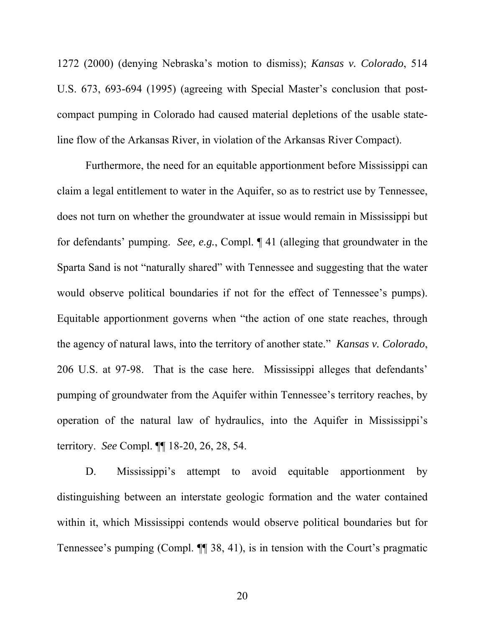1272 (2000) (denying Nebraska's motion to dismiss); *Kansas v. Colorado*, 514 U.S. 673, 693-694 (1995) (agreeing with Special Master's conclusion that postcompact pumping in Colorado had caused material depletions of the usable stateline flow of the Arkansas River, in violation of the Arkansas River Compact).

Furthermore, the need for an equitable apportionment before Mississippi can claim a legal entitlement to water in the Aquifer, so as to restrict use by Tennessee, does not turn on whether the groundwater at issue would remain in Mississippi but for defendants' pumping. *See, e.g.*, Compl. ¶ 41 (alleging that groundwater in the Sparta Sand is not "naturally shared" with Tennessee and suggesting that the water would observe political boundaries if not for the effect of Tennessee's pumps). Equitable apportionment governs when "the action of one state reaches, through the agency of natural laws, into the territory of another state." *Kansas v. Colorado*, 206 U.S. at 97-98. That is the case here. Mississippi alleges that defendants' pumping of groundwater from the Aquifer within Tennessee's territory reaches, by operation of the natural law of hydraulics, into the Aquifer in Mississippi's territory. *See* Compl. ¶¶ 18-20, 26, 28, 54.

D. Mississippi's attempt to avoid equitable apportionment by distinguishing between an interstate geologic formation and the water contained within it, which Mississippi contends would observe political boundaries but for Tennessee's pumping (Compl. ¶¶ 38, 41), is in tension with the Court's pragmatic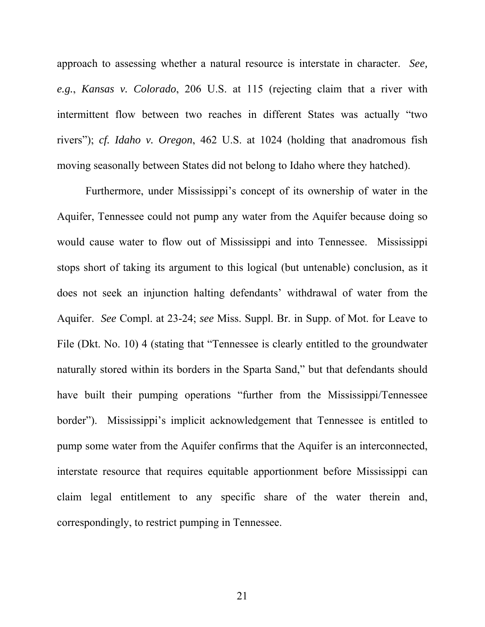approach to assessing whether a natural resource is interstate in character. *See, e.g.*, *Kansas v. Colorado*, 206 U.S. at 115 (rejecting claim that a river with intermittent flow between two reaches in different States was actually "two rivers"); *cf. Idaho v. Oregon*, 462 U.S. at 1024 (holding that anadromous fish moving seasonally between States did not belong to Idaho where they hatched).

Furthermore, under Mississippi's concept of its ownership of water in the Aquifer, Tennessee could not pump any water from the Aquifer because doing so would cause water to flow out of Mississippi and into Tennessee. Mississippi stops short of taking its argument to this logical (but untenable) conclusion, as it does not seek an injunction halting defendants' withdrawal of water from the Aquifer. *See* Compl. at 23-24; *see* Miss. Suppl. Br. in Supp. of Mot. for Leave to File (Dkt. No. 10) 4 (stating that "Tennessee is clearly entitled to the groundwater naturally stored within its borders in the Sparta Sand," but that defendants should have built their pumping operations "further from the Mississippi/Tennessee border"). Mississippi's implicit acknowledgement that Tennessee is entitled to pump some water from the Aquifer confirms that the Aquifer is an interconnected, interstate resource that requires equitable apportionment before Mississippi can claim legal entitlement to any specific share of the water therein and, correspondingly, to restrict pumping in Tennessee.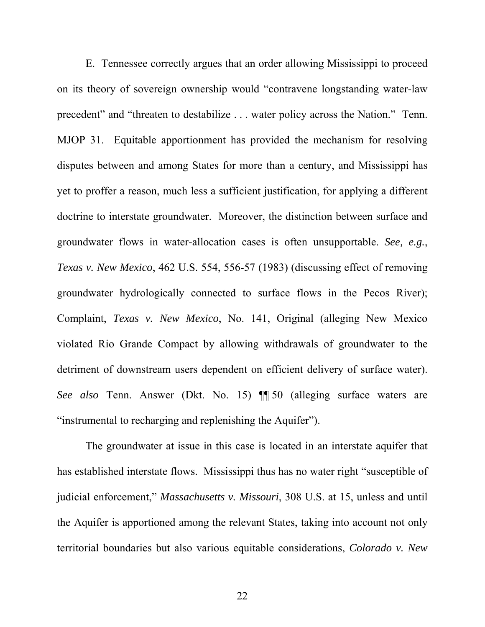E. Tennessee correctly argues that an order allowing Mississippi to proceed on its theory of sovereign ownership would "contravene longstanding water-law precedent" and "threaten to destabilize . . . water policy across the Nation." Tenn. MJOP 31. Equitable apportionment has provided the mechanism for resolving disputes between and among States for more than a century, and Mississippi has yet to proffer a reason, much less a sufficient justification, for applying a different doctrine to interstate groundwater. Moreover, the distinction between surface and groundwater flows in water-allocation cases is often unsupportable. *See, e.g.*, *Texas v. New Mexico*, 462 U.S. 554, 556-57 (1983) (discussing effect of removing groundwater hydrologically connected to surface flows in the Pecos River); Complaint, *Texas v. New Mexico*, No. 141, Original (alleging New Mexico violated Rio Grande Compact by allowing withdrawals of groundwater to the detriment of downstream users dependent on efficient delivery of surface water). *See also* Tenn. Answer (Dkt. No. 15) ¶¶ 50 (alleging surface waters are "instrumental to recharging and replenishing the Aquifer").

The groundwater at issue in this case is located in an interstate aquifer that has established interstate flows. Mississippi thus has no water right "susceptible of judicial enforcement," *Massachusetts v. Missouri*, 308 U.S. at 15, unless and until the Aquifer is apportioned among the relevant States, taking into account not only territorial boundaries but also various equitable considerations, *Colorado v. New*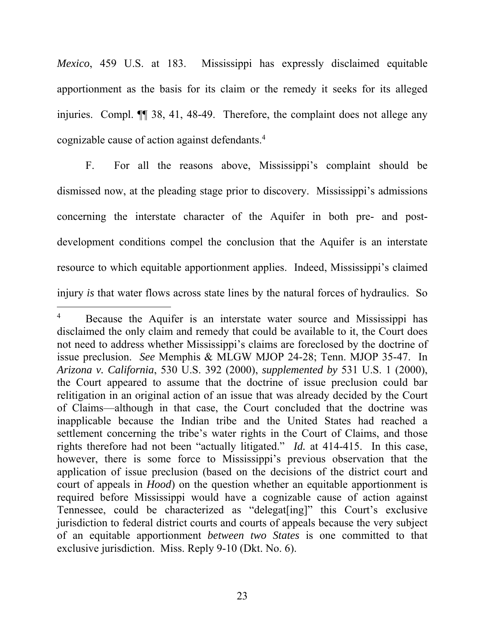*Mexico*, 459 U.S. at 183. Mississippi has expressly disclaimed equitable apportionment as the basis for its claim or the remedy it seeks for its alleged injuries. Compl. ¶¶ 38, 41, 48-49. Therefore, the complaint does not allege any cognizable cause of action against defendants.4

F. For all the reasons above, Mississippi's complaint should be dismissed now, at the pleading stage prior to discovery. Mississippi's admissions concerning the interstate character of the Aquifer in both pre- and postdevelopment conditions compel the conclusion that the Aquifer is an interstate resource to which equitable apportionment applies. Indeed, Mississippi's claimed injury *is* that water flows across state lines by the natural forces of hydraulics. So

 $\overline{a}$ 

<sup>4</sup> Because the Aquifer is an interstate water source and Mississippi has disclaimed the only claim and remedy that could be available to it, the Court does not need to address whether Mississippi's claims are foreclosed by the doctrine of issue preclusion. *See* Memphis & MLGW MJOP 24-28; Tenn. MJOP 35-47. In *Arizona v. California*, 530 U.S. 392 (2000), *supplemented by* 531 U.S. 1 (2000), the Court appeared to assume that the doctrine of issue preclusion could bar relitigation in an original action of an issue that was already decided by the Court of Claims—although in that case, the Court concluded that the doctrine was inapplicable because the Indian tribe and the United States had reached a settlement concerning the tribe's water rights in the Court of Claims, and those rights therefore had not been "actually litigated." *Id.* at 414-415. In this case, however, there is some force to Mississippi's previous observation that the application of issue preclusion (based on the decisions of the district court and court of appeals in *Hood*) on the question whether an equitable apportionment is required before Mississippi would have a cognizable cause of action against Tennessee, could be characterized as "delegat[ing]" this Court's exclusive jurisdiction to federal district courts and courts of appeals because the very subject of an equitable apportionment *between two States* is one committed to that exclusive jurisdiction. Miss. Reply 9-10 (Dkt. No. 6).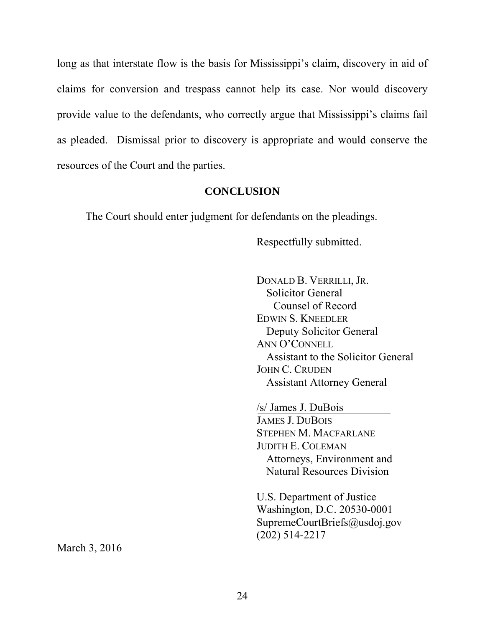long as that interstate flow is the basis for Mississippi's claim, discovery in aid of claims for conversion and trespass cannot help its case. Nor would discovery provide value to the defendants, who correctly argue that Mississippi's claims fail as pleaded. Dismissal prior to discovery is appropriate and would conserve the resources of the Court and the parties.

### **CONCLUSION**

The Court should enter judgment for defendants on the pleadings.

Respectfully submitted.

 DONALD B. VERRILLI, JR. Solicitor General Counsel of Record EDWIN S. KNEEDLER Deputy Solicitor General ANN O'CONNELL Assistant to the Solicitor General JOHN C. CRUDEN Assistant Attorney General

/s/ James J. DuBois JAMES J. DUBOIS STEPHEN M. MACFARLANE JUDITH E. COLEMAN Attorneys, Environment and Natural Resources Division

U.S. Department of Justice Washington, D.C. 20530-0001 SupremeCourtBriefs@usdoj.gov (202) 514-2217

March 3, 2016